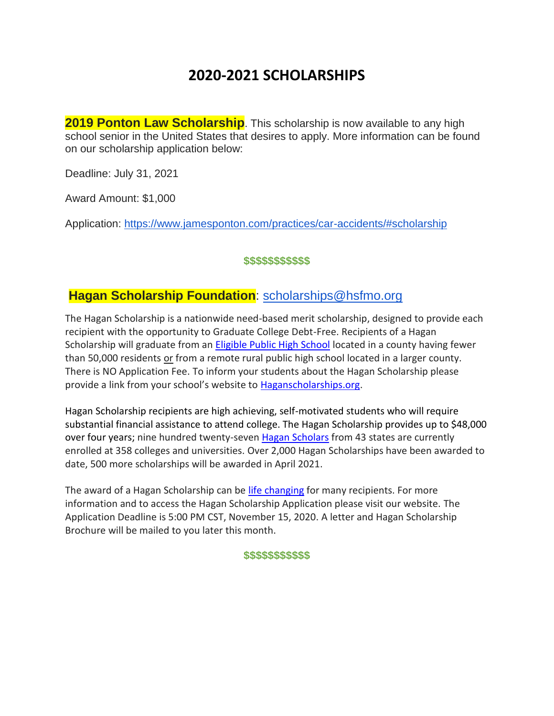# **2020-2021 SCHOLARSHIPS**

**2019 Ponton Law Scholarship**. This scholarship is now available to any high school senior in the United States that desires to apply. More information can be found on our scholarship application below:

Deadline: July 31, 2021

Award Amount: \$1,000

Application: <https://www.jamesponton.com/practices/car-accidents/#scholarship>

#### **\$\$\$\$\$\$\$\$\$\$\$**

## **Hagan Scholarship Foundation**: [scholarships@hsfmo.org](mailto:scholarships@hsfmo.org)

The Hagan Scholarship is a nationwide need-based merit scholarship, designed to provide each recipient with the opportunity to Graduate College Debt-Free. Recipients of a Hagan Scholarship will graduate from an [Eligible Public High School](https://haganscholarships.org/high-schools/) located in a county having fewer than 50,000 residents or from a remote rural public high school located in a larger county. There is NO Application Fee. To inform your students about the Hagan Scholarship please provide a link from your school's website to [Haganscholarships.org.](https://haganscholarships.org/)

Hagan Scholarship recipients are high achieving, self-motivated students who will require substantial financial assistance to attend college. The Hagan Scholarship provides up to \$48,000 over four years; nine hundred twenty-seven [Hagan Scholars](https://haganscholarships.org/list-of-recipients/) from 43 states are currently enrolled at 358 colleges and universities. Over 2,000 Hagan Scholarships have been awarded to date, 500 more scholarships will be awarded in April 2021.

The award of a Hagan Scholarship can be [life changing](https://haganscholarships.org/testimonials/) for many recipients. For more information and to access the Hagan Scholarship Application please visit our website. The Application Deadline is 5:00 PM CST, November 15, 2020. A letter and Hagan Scholarship Brochure will be mailed to you later this month.

#### **\$\$\$\$\$\$\$\$\$\$\$**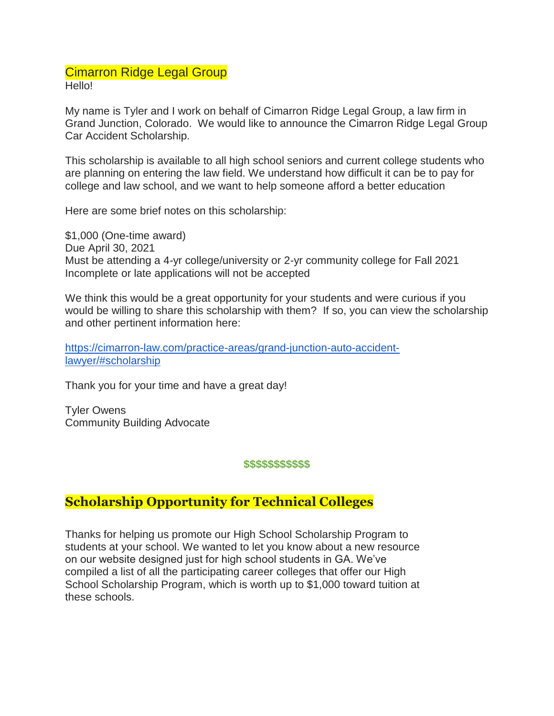## Cimarron Ridge Legal Group Hello!

My name is Tyler and I work on behalf of Cimarron Ridge Legal Group, a law firm in Grand Junction, Colorado. We would like to announce the Cimarron Ridge Legal Group Car Accident Scholarship.

This scholarship is available to all high school seniors and current college students who are planning on entering the law field. We understand how difficult it can be to pay for college and law school, and we want to help someone afford a better education

Here are some brief notes on this scholarship:

\$1,000 (One-time award) Due April 30, 2021 Must be attending a 4-yr college/university or 2-yr community college for Fall 2021 Incomplete or late applications will not be accepted

We think this would be a great opportunity for your students and were curious if you would be willing to share this scholarship with them? If so, you can view the scholarship and other pertinent information here:

[https://cimarron-law.com/practice-areas/grand-junction-auto-accident](https://cimarron-law.com/practice-areas/grand-junction-auto-accident-lawyer/#scholarship)[lawyer/#scholarship](https://cimarron-law.com/practice-areas/grand-junction-auto-accident-lawyer/#scholarship)

Thank you for your time and have a great day!

Tyler Owens Community Building Advocate

#### **\$\$\$\$\$\$\$\$\$\$\$**

# **Scholarship Opportunity for Technical Colleges**

Thanks for helping us promote our High School Scholarship Program to students at your school. We wanted to let you know about a new resource on our website designed just for high school students in GA. We've compiled a list of all the participating career colleges that offer our High School Scholarship Program, which is worth up to \$1,000 toward tuition at these schools.